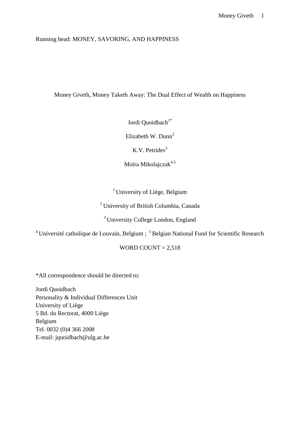## Running head: MONEY, SAVORING, AND HAPPINESS

Money Giveth, Money Taketh Away: The Dual Effect of Wealth on Happiness

Jordi Quoidbach<sup>1\*</sup>

Elizabeth W. Dunn<sup>2</sup>

K.V. Petrides $3$ 

Moïra Mikolajczak<sup>4,5</sup>

<sup>1</sup> University of Liège, Belgium

<sup>2</sup>University of British Columbia, Canada

<sup>3</sup> University College London, England

<sup>4</sup> Université catholique de Louvain, Belgium;  $5$ Belgian National Fund for Scientific Research

WORD COUNT  $= 2,518$ 

\*All correspondence should be directed to:

Jordi Quoidbach Personality & Individual Differences Unit University of Liège 5 Bd. du Rectorat, 4000 Liège Belgium Tel. 0032 (0)4 366 2008 E-mail: jquoidbach@ulg.ac.be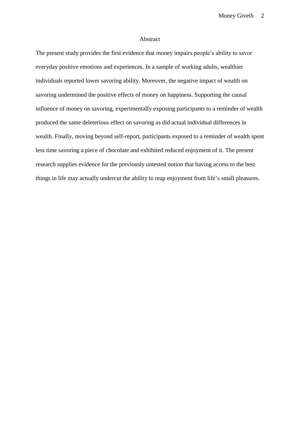#### Abstract

The present study provides the first evidence that money impairs people's ability to savor everyday positive emotions and experiences. In a sample of working adults, wealthier individuals reported lower savoring ability. Moreover, the negative impact of wealth on savoring undermined the positive effects of money on happiness. Supporting the causal influence of money on savoring, experimentally exposing participants to a reminder of wealth produced the same deleterious effect on savoring as did actual individual differences in wealth. Finally, moving beyond self-report, participants exposed to a reminder of wealth spent less time savoring a piece of chocolate and exhibited reduced enjoyment of it. The present research supplies evidence for the previously untested notion that having access to the best things in life may actually undercut the ability to reap enjoyment from life's small pleasures.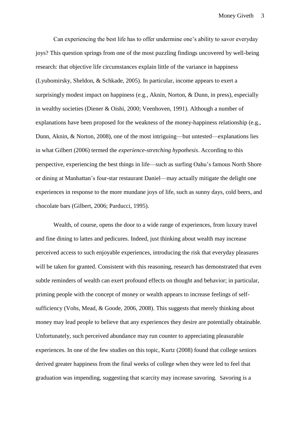Can experiencing the best life has to offer undermine one's ability to savor everyday joys? This question springs from one of the most puzzling findings uncovered by well-being research: that objective life circumstances explain little of the variance in happiness (Lyubomirsky, Sheldon, & Schkade, 2005). In particular, income appears to exert a surprisingly modest impact on happiness (e.g., Aknin, Norton, & Dunn, in press), especially in wealthy societies (Diener & Oishi, 2000; Veenhoven, 1991). Although a number of explanations have been proposed for the weakness of the money-happiness relationship (e.g., Dunn, Aknin, & Norton, 2008), one of the most intriguing—but untested—explanations lies in what Gilbert (2006) termed the *experience-stretching hypothesis*. According to this perspective, experiencing the best things in life—such as surfing Oahu's famous North Shore or dining at Manhattan's four-star restaurant Daniel—may actually mitigate the delight one experiences in response to the more mundane joys of life, such as sunny days, cold beers, and chocolate bars (Gilbert, 2006; Parducci, 1995).

Wealth, of course, opens the door to a wide range of experiences, from luxury travel and fine dining to lattes and pedicures. Indeed, just thinking about wealth may increase perceived access to such enjoyable experiences, introducing the risk that everyday pleasures will be taken for granted. Consistent with this reasoning, research has demonstrated that even subtle reminders of wealth can exert profound effects on thought and behavior; in particular, priming people with the concept of money or wealth appears to increase feelings of selfsufficiency (Vohs, Mead, & Goode, 2006, 2008). This suggests that merely thinking about money may lead people to believe that any experiences they desire are potentially obtainable. Unfortunately, such perceived abundance may run counter to appreciating pleasurable experiences. In one of the few studies on this topic, Kurtz (2008) found that college seniors derived greater happiness from the final weeks of college when they were led to feel that graduation was impending, suggesting that scarcity may increase savoring. Savoring is a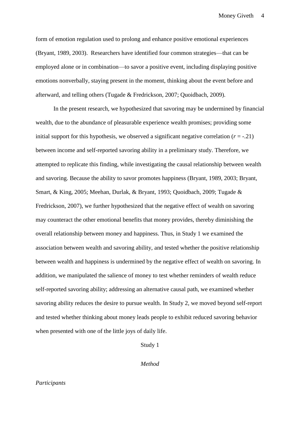form of emotion regulation used to prolong and enhance positive emotional experiences (Bryant, 1989, 2003). Researchers have identified four common strategies—that can be employed alone or in combination—to savor a positive event, including displaying positive emotions nonverbally, staying present in the moment, thinking about the event before and afterward, and telling others (Tugade & Fredrickson, 2007; Quoidbach, 2009).

In the present research, we hypothesized that savoring may be undermined by financial wealth, due to the abundance of pleasurable experience wealth promises; providing some initial support for this hypothesis, we observed a significant negative correlation  $(r = -0.21)$ between income and self-reported savoring ability in a preliminary study. Therefore, we attempted to replicate this finding, while investigating the causal relationship between wealth and savoring. Because the ability to savor promotes happiness (Bryant, 1989, 2003; Bryant, Smart, & King, 2005; Meehan, Durlak, & Bryant, 1993; Quoidbach, 2009; Tugade & Fredrickson, 2007), we further hypothesized that the negative effect of wealth on savoring may counteract the other emotional benefits that money provides, thereby diminishing the overall relationship between money and happiness. Thus, in Study 1 we examined the association between wealth and savoring ability, and tested whether the positive relationship between wealth and happiness is undermined by the negative effect of wealth on savoring. In addition, we manipulated the salience of money to test whether reminders of wealth reduce self-reported savoring ability; addressing an alternative causal path, we examined whether savoring ability reduces the desire to pursue wealth. In Study 2, we moved beyond self-report and tested whether thinking about money leads people to exhibit reduced savoring behavior when presented with one of the little joys of daily life.

Study 1

*Method*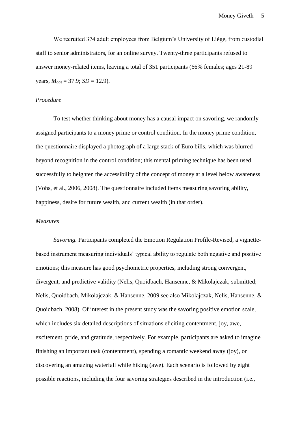We recruited 374 adult employees from Belgium's University of Liège, from custodial staff to senior administrators, for an online survey. Twenty-three participants refused to answer money-related items, leaving a total of 351 participants (66% females; ages 21-89 years,  $M_{\text{age}} = 37.9$ ; *SD* = 12.9).

## *Procedure*

To test whether thinking about money has a causal impact on savoring, we randomly assigned participants to a money prime or control condition. In the money prime condition, the questionnaire displayed a photograph of a large stack of Euro bills, which was blurred beyond recognition in the control condition; this mental priming technique has been used successfully to heighten the accessibility of the concept of money at a level below awareness (Vohs, et al., 2006, 2008). The questionnaire included items measuring savoring ability, happiness, desire for future wealth, and current wealth (in that order).

#### *Measures*

*Savoring.* Participants completed the Emotion Regulation Profile-Revised, a vignettebased instrument measuring individuals' typical ability to regulate both negative and positive emotions; this measure has good psychometric properties, including strong convergent, divergent, and predictive validity (Nelis, Quoidbach, Hansenne, & Mikolajczak, submitted; Nelis, Quoidbach, Mikolajczak, & Hansenne, 2009 see also Mikolajczak, Nelis, Hansenne, & Quoidbach, 2008). Of interest in the present study was the savoring positive emotion scale, which includes six detailed descriptions of situations eliciting contentment, joy, awe, excitement, pride, and gratitude, respectively. For example, participants are asked to imagine finishing an important task (contentment), spending a romantic weekend away (joy), or discovering an amazing waterfall while hiking (awe). Each scenario is followed by eight possible reactions, including the four savoring strategies described in the introduction (i.e.,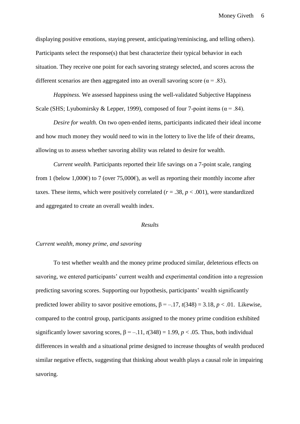displaying positive emotions, staying present, anticipating/reminiscing, and telling others). Participants select the response(s) that best characterize their typical behavior in each situation. They receive one point for each savoring strategy selected, and scores across the different scenarios are then aggregated into an overall savoring score ( $\alpha$  = .83).

*Happiness.* We assessed happiness using the well-validated Subjective Happiness Scale (SHS; Lyubomirsky & Lepper, 1999), composed of four 7-point items ( $\alpha$  = .84).

*Desire for wealth.* On two open-ended items, participants indicated their ideal income and how much money they would need to win in the lottery to live the life of their dreams, allowing us to assess whether savoring ability was related to desire for wealth.

*Current wealth.* Participants reported their life savings on a 7-point scale, ranging from 1 (below 1,000 $\epsilon$ ) to 7 (over 75,000 $\epsilon$ ), as well as reporting their monthly income after taxes. These items, which were positively correlated ( $r = .38$ ,  $p < .001$ ), were standardized and aggregated to create an overall wealth index.

#### *Results*

## *Current wealth, money prime, and savoring*

To test whether wealth and the money prime produced similar, deleterious effects on savoring, we entered participants' current wealth and experimental condition into a regression predicting savoring scores. Supporting our hypothesis, participants' wealth significantly predicted lower ability to savor positive emotions,  $β = -.17, t(348) = 3.18, p < .01$ . Likewise, compared to the control group, participants assigned to the money prime condition exhibited significantly lower savoring scores,  $\beta = -11$ ,  $t(348) = 1.99$ ,  $p < .05$ . Thus, both individual differences in wealth and a situational prime designed to increase thoughts of wealth produced similar negative effects, suggesting that thinking about wealth plays a causal role in impairing savoring.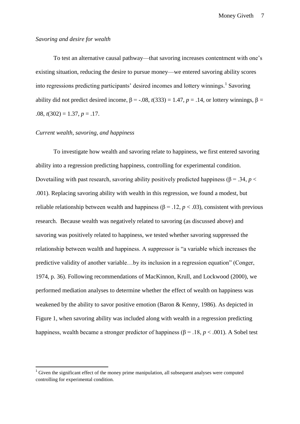#### *Savoring and desire for wealth*

To test an alternative causal pathway—that savoring increases contentment with one's existing situation, reducing the desire to pursue money—we entered savoring ability scores into regressions predicting participants' desired incomes and lottery winnings. 1 Savoring ability did not predict desired income,  $\beta$  = -.08, *t*(333) = 1.47, *p* = .14, or lottery winnings,  $\beta$  = .08, *t*(302) = 1.37, *p* = .17.

## *Current wealth, savoring, and happiness*

1

To investigate how wealth and savoring relate to happiness, we first entered savoring ability into a regression predicting happiness, controlling for experimental condition. Dovetailing with past research, savoring ability positively predicted happiness ( $\beta$  = .34, *p* < .001). Replacing savoring ability with wealth in this regression, we found a modest, but reliable relationship between wealth and happiness ( $\beta$  = .12, *p* < .03), consistent with previous research. Because wealth was negatively related to savoring (as discussed above) and savoring was positively related to happiness, we tested whether savoring suppressed the relationship between wealth and happiness. A suppressor is "a variable which increases the predictive validity of another variable...by its inclusion in a regression equation" (Conger, 1974, p. 36). Following recommendations of MacKinnon, Krull, and Lockwood (2000), we performed mediation analyses to determine whether the effect of wealth on happiness was weakened by the ability to savor positive emotion (Baron & Kenny, 1986). As depicted in Figure 1, when savoring ability was included along with wealth in a regression predicting happiness, wealth became a stronger predictor of happiness (β = .18, *p* < .001). A Sobel test

 $1$  Given the significant effect of the money prime manipulation, all subsequent analyses were computed controlling for experimental condition.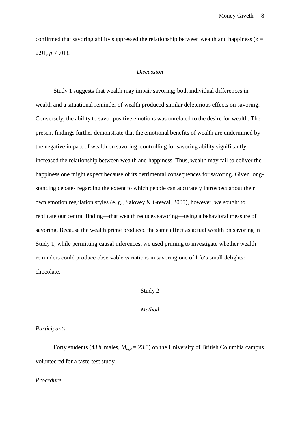confirmed that savoring ability suppressed the relationship between wealth and happiness ( $z =$ 2.91,  $p < .01$ ).

#### *Discussion*

Study 1 suggests that wealth may impair savoring; both individual differences in wealth and a situational reminder of wealth produced similar deleterious effects on savoring. Conversely, the ability to savor positive emotions was unrelated to the desire for wealth. The present findings further demonstrate that the emotional benefits of wealth are undermined by the negative impact of wealth on savoring; controlling for savoring ability significantly increased the relationship between wealth and happiness. Thus, wealth may fail to deliver the happiness one might expect because of its detrimental consequences for savoring. Given longstanding debates regarding the extent to which people can accurately introspect about their own emotion regulation styles (e. g., Salovey & Grewal, 2005), however, we sought to replicate our central finding—that wealth reduces savoring—using a behavioral measure of savoring. Because the wealth prime produced the same effect as actual wealth on savoring in Study 1, while permitting causal inferences, we used priming to investigate whether wealth reminders could produce observable variations in savoring one of life's small delights: chocolate.

## Study 2

## *Method*

## *Participants*

Forty students (43% males,  $M_{\text{age}} = 23.0$ ) on the University of British Columbia campus volunteered for a taste-test study.

#### *Procedure*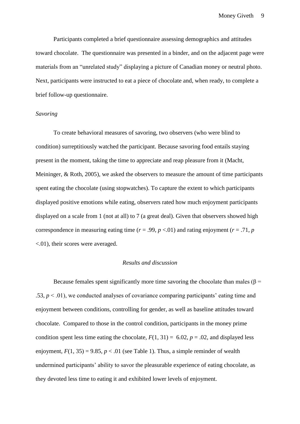Participants completed a brief questionnaire assessing demographics and attitudes toward chocolate. The questionnaire was presented in a binder, and on the adjacent page were materials from an "unrelated study" displaying a picture of Canadian money or neutral photo. Next, participants were instructed to eat a piece of chocolate and, when ready, to complete a brief follow-up questionnaire.

#### *Savoring*

To create behavioral measures of savoring, two observers (who were blind to condition) surreptitiously watched the participant. Because savoring food entails staying present in the moment, taking the time to appreciate and reap pleasure from it (Macht, Meininger, & Roth, 2005), we asked the observers to measure the amount of time participants spent eating the chocolate (using stopwatches). To capture the extent to which participants displayed positive emotions while eating, observers rated how much enjoyment participants displayed on a scale from 1 (not at all) to 7 (a great deal). Given that observers showed high correspondence in measuring eating time ( $r = .99$ ,  $p < .01$ ) and rating enjoyment ( $r = .71$ ,  $p = .71$ <.01), their scores were averaged.

## *Results and discussion*

Because females spent significantly more time savoring the chocolate than males ( $\beta$  = .53,  $p < 0.01$ ), we conducted analyses of covariance comparing participants' eating time and enjoyment between conditions, controlling for gender, as well as baseline attitudes toward chocolate. Compared to those in the control condition, participants in the money prime condition spent less time eating the chocolate,  $F(1, 31) = 6.02$ ,  $p = .02$ , and displayed less enjoyment,  $F(1, 35) = 9.85$ ,  $p < .01$  (see Table 1). Thus, a simple reminder of wealth undermined participants' ability to savor the pleasurable experience of eating chocolate, as they devoted less time to eating it and exhibited lower levels of enjoyment.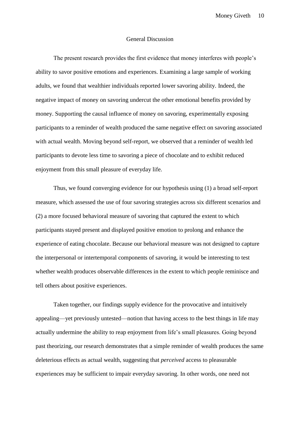## General Discussion

The present research provides the first evidence that money interferes with people's ability to savor positive emotions and experiences. Examining a large sample of working adults, we found that wealthier individuals reported lower savoring ability. Indeed, the negative impact of money on savoring undercut the other emotional benefits provided by money. Supporting the causal influence of money on savoring, experimentally exposing participants to a reminder of wealth produced the same negative effect on savoring associated with actual wealth. Moving beyond self-report, we observed that a reminder of wealth led participants to devote less time to savoring a piece of chocolate and to exhibit reduced enjoyment from this small pleasure of everyday life.

Thus, we found converging evidence for our hypothesis using (1) a broad self-report measure, which assessed the use of four savoring strategies across six different scenarios and (2) a more focused behavioral measure of savoring that captured the extent to which participants stayed present and displayed positive emotion to prolong and enhance the experience of eating chocolate. Because our behavioral measure was not designed to capture the interpersonal or intertemporal components of savoring, it would be interesting to test whether wealth produces observable differences in the extent to which people reminisce and tell others about positive experiences.

Taken together, our findings supply evidence for the provocative and intuitively appealing—yet previously untested—notion that having access to the best things in life may actually undermine the ability to reap enjoyment from life's small pleasures. Going beyond past theorizing, our research demonstrates that a simple reminder of wealth produces the same deleterious effects as actual wealth, suggesting that *perceived* access to pleasurable experiences may be sufficient to impair everyday savoring. In other words, one need not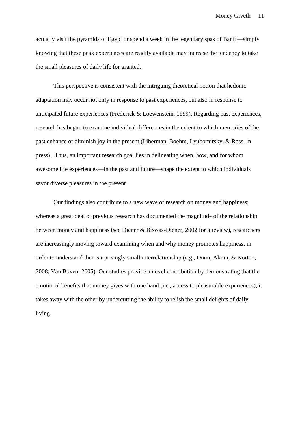actually visit the pyramids of Egypt or spend a week in the legendary spas of Banff—simply knowing that these peak experiences are readily available may increase the tendency to take the small pleasures of daily life for granted.

This perspective is consistent with the intriguing theoretical notion that hedonic adaptation may occur not only in response to past experiences, but also in response to anticipated future experiences (Frederick & Loewenstein, 1999). Regarding past experiences, research has begun to examine individual differences in the extent to which memories of the past enhance or diminish joy in the present (Liberman, Boehm, Lyubomirsky, & Ross, in press). Thus, an important research goal lies in delineating when, how, and for whom awesome life experiences—in the past and future—shape the extent to which individuals savor diverse pleasures in the present.

Our findings also contribute to a new wave of research on money and happiness; whereas a great deal of previous research has documented the magnitude of the relationship between money and happiness (see Diener & Biswas-Diener, 2002 for a review), researchers are increasingly moving toward examining when and why money promotes happiness, in order to understand their surprisingly small interrelationship (e.g., Dunn, Aknin, & Norton, 2008; Van Boven, 2005). Our studies provide a novel contribution by demonstrating that the emotional benefits that money gives with one hand (i.e., access to pleasurable experiences), it takes away with the other by undercutting the ability to relish the small delights of daily living.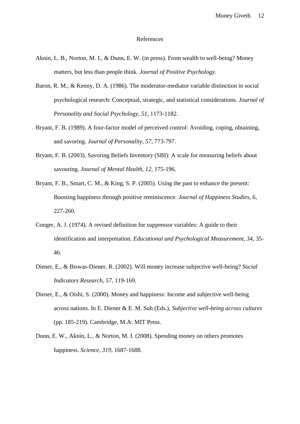#### References

- Aknin, L. B., Norton, M. I., & Dunn, E. W. (in press). From wealth to well-being? Money matters, but less than people think. *Journal of Positive Psychology*.
- Baron, R. M., & Kenny, D. A. (1986). The moderator-mediator variable distinction in social psychological research: Conceptual, strategic, and statistical considerations. *Journal of Personality and Social Psychology, 51*, 1173-1182.
- Bryant, F. B. (1989). A four-factor model of perceived control: Avoiding, coping, obtaining, and savoring. *Journal of Personality, 57*, 773-797.
- Bryant, F. B. (2003). Savoring Beliefs Inventory (SBI): A scale for measuring beliefs about savouring. *Journal of Mental Health, 12*, 175-196.
- Bryant, F. B., Smart, C. M., & King, S. P. (2005). Using the past to enhance the present: Boosting happiness through positive reminiscence. *Journal of Happiness Studies, 6*, 227-260.
- Conger, A. J. (1974). A revised definition for suppressor variables: A guide to their identification and interpretation. *Educational and Psychological Measurement, 34*, 35- 46.
- Diener, E., & Biswas-Diener, R. (2002). Will money increase subjective well-being? *Social Indicators Research, 57*, 119-169.
- Diener, E., & Oishi, S. (2000). Money and happiness: Income and subjective well-being across nations. In E. Diener & E. M. Suh (Eds.), *Subjective well-being across cultures* (pp. 185-219). Cambridge, M.A: MIT Press.
- Dunn, E. W., Aknin, L., & Norton, M. I. (2008). Spending money on others promotes happiness. *Science, 319*, 1687-1688.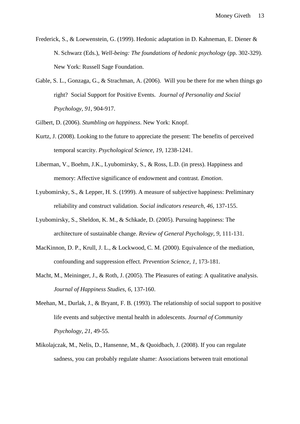- Frederick, S., & Loewenstein, G. (1999). Hedonic adaptation in D. Kahneman, E. Diener & N. Schwarz (Eds.), *Well-being: The foundations of hedonic psychology* (pp. 302-329). New York: Russell Sage Foundation.
- Gable, S. L., Gonzaga, G., & Strachman, A. (2006). Will you be there for me when things go right? Social Support for Positive Events. *Journal of Personality and Social Psychology, 91*, 904-917.
- Gilbert, D. (2006). *Stumbling on happiness*. New York: Knopf.
- Kurtz, J. (2008). Looking to the future to appreciate the present: The benefits of perceived temporal scarcity. *Psychological Science, 19*, 1238-1241.
- Liberman, V., Boehm, J.K., Lyubomirsky, S., & Ross, L.D. (in press). Happiness and memory: Affective significance of endowment and contrast. *Emotion*.
- Lyubomirsky, S., & Lepper, H. S. (1999). A measure of subjective happiness: Preliminary reliability and construct validation. *Social indicators research, 46*, 137-155.
- Lyubomirsky, S., Sheldon, K. M., & Schkade, D. (2005). Pursuing happiness: The architecture of sustainable change. *Review of General Psychology, 9*, 111-131.
- MacKinnon, D. P., Krull, J. L., & Lockwood, C. M. (2000). Equivalence of the mediation, confounding and suppression effect. *Prevention Science, 1*, 173-181.
- Macht, M., Meininger, J., & Roth, J. (2005). The Pleasures of eating: A qualitative analysis. *Journal of Happiness Studies, 6*, 137-160.
- Meehan, M., Durlak, J., & Bryant, F. B. (1993). The relationship of social support to positive life events and subjective mental health in adolescents. *Journal of Community Psychology, 21*, 49-55.
- Mikolajczak, M., Nelis, D., Hansenne, M., & Quoidbach, J. (2008). If you can regulate sadness, you can probably regulate shame: Associations between trait emotional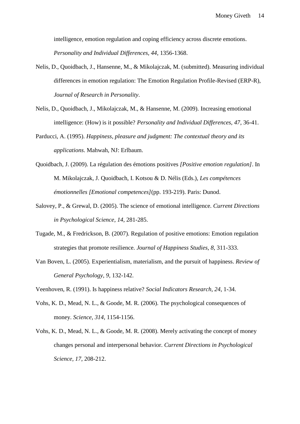intelligence, emotion regulation and coping efficiency across discrete emotions. *Personality and Individual Differences, 44*, 1356-1368.

- Nelis, D., Quoidbach, J., Hansenne, M., & Mikolajczak, M. (submitted). Measuring individual differences in emotion regulation: The Emotion Regulation Profile-Revised (ERP-R), *Journal of Research in Personality*.
- Nelis, D., Quoidbach, J., Mikolajczak, M., & Hansenne, M. (2009). Increasing emotional intelligence: (How) is it possible? *Personality and Individual Differences, 47*, 36-41.
- Parducci, A. (1995). *Happiness, pleasure and judgment: The contextual theory and its applications*. Mahwah, NJ: Erlbaum.
- Quoidbach, J. (2009). La régulation des émotions positives *[Positive emotion regulation]*. In M. Mikolajczak, J. Quoidbach, I. Kotsou & D. Nélis (Eds.), *Les compétences émotionnelles [Emotional competences]*(pp. 193-219). Paris: Dunod.
- Salovey, P., & Grewal, D. (2005). The science of emotional intelligence. *Current Directions in Psychological Science, 14*, 281-285.
- Tugade, M., & Fredrickson, B. (2007). Regulation of positive emotions: Emotion regulation strategies that promote resilience. *Journal of Happiness Studies, 8*, 311-333.
- Van Boven, L. (2005). Experientialism, materialism, and the pursuit of happiness. *Review of General Psychology, 9*, 132-142.
- Veenhoven, R. (1991). Is happiness relative? *Social Indicators Research, 24*, 1-34.
- Vohs, K. D., Mead, N. L., & Goode, M. R. (2006). The psychological consequences of money. *Science, 314*, 1154-1156.
- Vohs, K. D., Mead, N. L., & Goode, M. R. (2008). Merely activating the concept of money changes personal and interpersonal behavior. *Current Directions in Psychological Science, 17*, 208-212.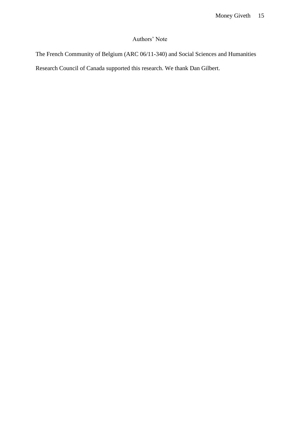## Authors' Note

The French Community of Belgium (ARC 06/11-340) and Social Sciences and Humanities

Research Council of Canada supported this research. We thank Dan Gilbert.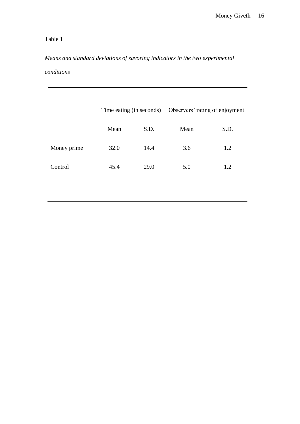# Table 1

# *Means and standard deviations of savoring indicators in the two experimental conditions*

|             | Time eating (in seconds) |      | Observers' rating of enjoyment |      |
|-------------|--------------------------|------|--------------------------------|------|
|             | Mean                     | S.D. | Mean                           | S.D. |
| Money prime | 32.0                     | 14.4 | 3.6                            | 1.2  |
| Control     | 45.4                     | 29.0 | 5.0                            | 1.2  |